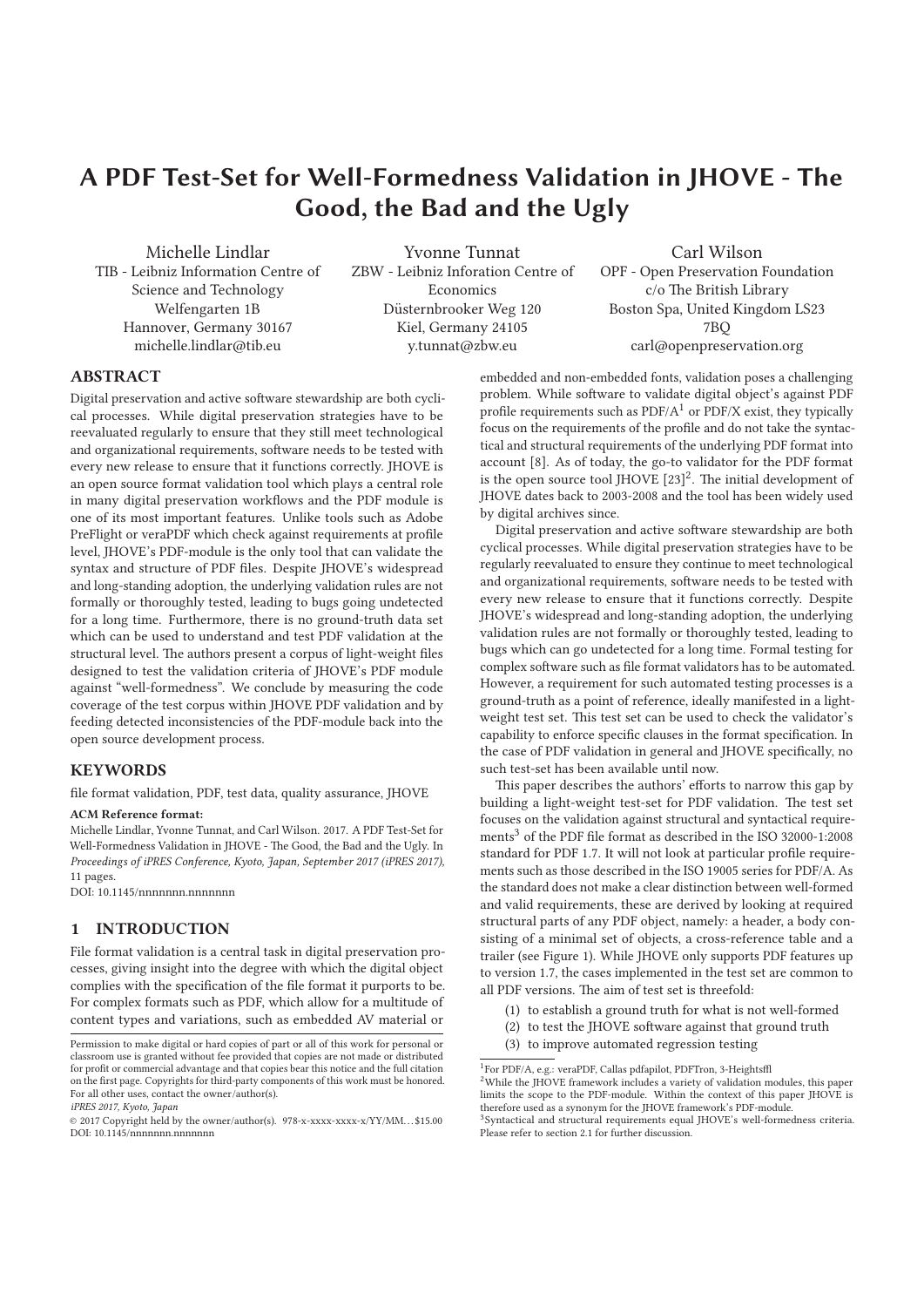# **A PDF Test-Set for Well-Formedness Validation in JHOVE - The Good, the Bad and the Ugly**

Michelle Lindlar TIB - Leibniz Information Centre of Science and Technology Welfengarten 1B Hannover, Germany 30167 michelle.lindlar@tib.eu

Yvonne Tunnat ZBW - Leibniz Inforation Centre of Economics Düsternbrooker Weg 120 Kiel, Germany 24105 y.tunnat@zbw.eu

Carl Wilson

OPF - Open Preservation Foundation c/o The British Library Boston Spa, United Kingdom LS23 7BQ carl@openpreservation.org

# **ABSTRACT**

Digital preservation and active software stewardship are both cyclical processes. While digital preservation strategies have to be reevaluated regularly to ensure that they still meet technological and organizational requirements, software needs to be tested with every new release to ensure that it functions correctly. JHOVE is an open source format validation tool which plays a central role in many digital preservation workflows and the PDF module is one of its most important features. Unlike tools such as Adobe PreFlight or veraPDF which check against requirements at profile level, JHOVE's PDF-module is the only tool that can validate the syntax and structure of PDF files. Despite JHOVE's widespread and long-standing adoption, the underlying validation rules are not formally or thoroughly tested, leading to bugs going undetected for a long time. Furthermore, there is no ground-truth data set which can be used to understand and test PDF validation at the structural level. The authors present a corpus of light-weight files designed to test the validation criteria of JHOVE's PDF module against "well-formedness". We conclude by measuring the code coverage of the test corpus within JHOVE PDF validation and by feeding detected inconsistencies of the PDF-module back into the open source development process.

## **KEYWORDS**

file format validation, PDF, test data, quality assurance, JHOVE

#### **ACM Reference format:**

Michelle Lindlar, Yvonne Tunnat, and Carl Wilson. 2017. A PDF Test-Set for Well-Formedness Validation in JHOVE - The Good, the Bad and the Ugly. In Proceedings of iPRES Conference, Kyoto, Japan, September 2017 (iPRES 2017), 11 pages. DOI: 10.1145/nnnnnnn.nnnnnnn

# **1 INTRODUCTION**

File format validation is a central task in digital preservation processes, giving insight into the degree with which the digital object complies with the specification of the file format it purports to be. For complex formats such as PDF, which allow for a multitude of content types and variations, such as embedded AV material or embedded and non-embedded fonts, validation poses a challenging problem. While software to validate digital object's against PDF profile requirements such as  $PDF/A<sup>1</sup>$  or  $PDF/X$  exist, they typically focus on the requirements of the profile and do not take the syntactical and structural requirements of the underlying PDF format into account [8]. As of today, the go-to validator for the PDF format is the open source tool JHOVE  $[23]^2$ . The initial development of JHOVE dates back to 2003-2008 and the tool has been widely used by digital archives since.

Digital preservation and active software stewardship are both cyclical processes. While digital preservation strategies have to be regularly reevaluated to ensure they continue to meet technological and organizational requirements, software needs to be tested with every new release to ensure that it functions correctly. Despite JHOVE's widespread and long-standing adoption, the underlying validation rules are not formally or thoroughly tested, leading to bugs which can go undetected for a long time. Formal testing for complex software such as file format validators has to be automated. However, a requirement for such automated testing processes is a ground-truth as a point of reference, ideally manifested in a lightweight test set. This test set can be used to check the validator's capability to enforce specific clauses in the format specification. In the case of PDF validation in general and JHOVE specifically, no such test-set has been available until now.

This paper describes the authors' efforts to narrow this gap by building a light-weight test-set for PDF validation. The test set focuses on the validation against structural and syntactical requirements<sup>3</sup> of the PDF file format as described in the ISO 32000-1:2008 standard for PDF 1.7. It will not look at particular profile requirements such as those described in the ISO 19005 series for PDF/A. As the standard does not make a clear distinction between well-formed and valid requirements, these are derived by looking at required structural parts of any PDF object, namely: a header, a body consisting of a minimal set of objects, a cross-reference table and a trailer (see Figure 1). While JHOVE only supports PDF features up to version 1.7, the cases implemented in the test set are common to all PDF versions. The aim of test set is threefold:

- (1) to establish a ground truth for what is not well-formed
- (2) to test the JHOVE software against that ground truth
- (3) to improve automated regression testing

Permission to make digital or hard copies of part or all of this work for personal or classroom use is granted without fee provided that copies are not made or distributed for profit or commercial advantage and that copies bear this notice and the full citation on the first page. Copyrights for third-party components of this work must be honored. For all other uses, contact the owner/author(s).

iPRES 2017, Kyoto, Japan

<sup>© 2017</sup> Copyright held by the owner/author(s). 978-x-xxxx-xxxx-x/YY/MM. . . \$15.00 DOI: 10.1145/nnnnnnn.nnnnnnn

<sup>1</sup>For PDF/A, e.g.: veraPDF, Callas pdfapilot, PDFTron, 3-Heightsffl <sup>2</sup>While the JHOVE framework includes a variety of validation modules, this paper limits the scope to the PDF-module. Within the context of this paper JHOVE is

therefore used as a synonym for the JHOVE framework's PDF-module. <sup>3</sup>Syntactical and structural requirements equal JHOVE's well-formedness criteria.

Please refer to section 2.1 for further discussion.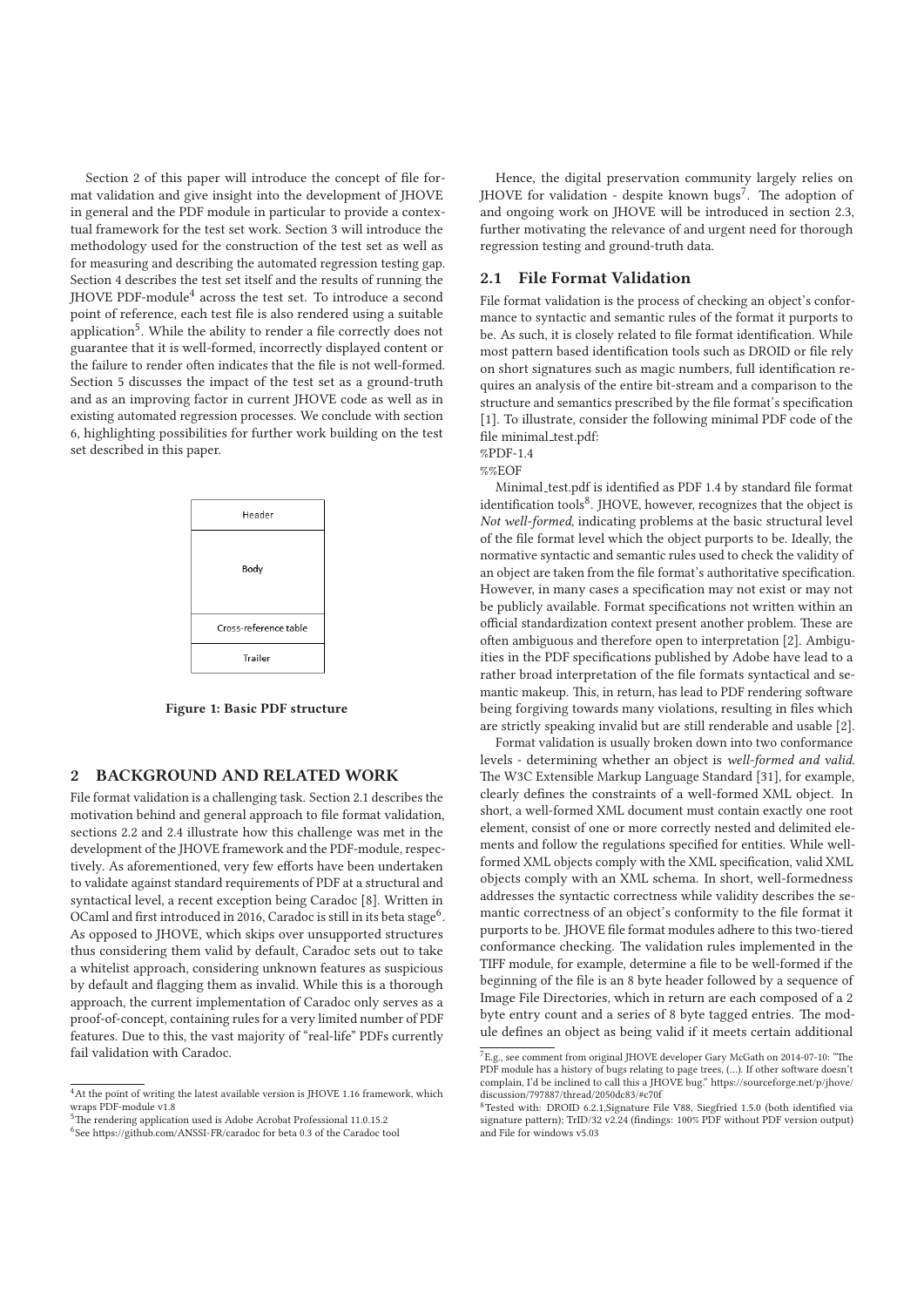Section 2 of this paper will introduce the concept of file format validation and give insight into the development of JHOVE in general and the PDF module in particular to provide a contextual framework for the test set work. Section 3 will introduce the methodology used for the construction of the test set as well as for measuring and describing the automated regression testing gap. Section 4 describes the test set itself and the results of running the JHOVE PDF-module4 across the test set. To introduce a second point of reference, each test file is also rendered using a suitable application<sup>5</sup>. While the ability to render a file correctly does not guarantee that it is well-formed, incorrectly displayed content or the failure to render often indicates that the file is not well-formed. Section 5 discusses the impact of the test set as a ground-truth and as an improving factor in current JHOVE code as well as in existing automated regression processes. We conclude with section 6, highlighting possibilities for further work building on the test set described in this paper.



**Figure 1: Basic PDF structure**

## **2 BACKGROUND AND RELATED WORK**

File format validation is a challenging task. Section 2.1 describes the motivation behind and general approach to file format validation, sections 2.2 and 2.4 illustrate how this challenge was met in the development of the JHOVE framework and the PDF-module, respectively. As aforementioned, very few efforts have been undertaken to validate against standard requirements of PDF at a structural and syntactical level, a recent exception being Caradoc [8]. Written in OCaml and first introduced in 2016, Caradoc is still in its beta stage<sup>6</sup>. As opposed to JHOVE, which skips over unsupported structures thus considering them valid by default, Caradoc sets out to take a whitelist approach, considering unknown features as suspicious by default and flagging them as invalid. While this is a thorough approach, the current implementation of Caradoc only serves as a proof-of-concept, containing rules for a very limited number of PDF features. Due to this, the vast majority of "real-life" PDFs currently fail validation with Caradoc.

Hence, the digital preservation community largely relies on JHOVE for validation - despite known bugs<sup>7</sup>. The adoption of and ongoing work on JHOVE will be introduced in section 2.3, further motivating the relevance of and urgent need for thorough regression testing and ground-truth data.

#### **2.1 File Format Validation**

File format validation is the process of checking an object's conformance to syntactic and semantic rules of the format it purports to be. As such, it is closely related to file format identification. While most pattern based identification tools such as DROID or file rely on short signatures such as magic numbers, full identification requires an analysis of the entire bit-stream and a comparison to the structure and semantics prescribed by the file format's specification [1]. To illustrate, consider the following minimal PDF code of the file minimal\_test.pdf:

%PDF-1.4

%%EOF

Minimal test.pdf is identified as PDF 1.4 by standard file format identification tools $8$ . JHOVE, however, recognizes that the object is Not well-formed, indicating problems at the basic structural level of the file format level which the object purports to be. Ideally, the normative syntactic and semantic rules used to check the validity of an object are taken from the file format's authoritative specification. However, in many cases a specification may not exist or may not be publicly available. Format specifications not written within an official standardization context present another problem. These are often ambiguous and therefore open to interpretation [2]. Ambiguities in the PDF specifications published by Adobe have lead to a rather broad interpretation of the file formats syntactical and semantic makeup. This, in return, has lead to PDF rendering software being forgiving towards many violations, resulting in files which are strictly speaking invalid but are still renderable and usable [2].

Format validation is usually broken down into two conformance levels - determining whether an object is well-formed and valid. The W3C Extensible Markup Language Standard [31], for example, clearly defines the constraints of a well-formed XML object. In short, a well-formed XML document must contain exactly one root element, consist of one or more correctly nested and delimited elements and follow the regulations specified for entities. While wellformed XML objects comply with the XML specification, valid XML objects comply with an XML schema. In short, well-formedness addresses the syntactic correctness while validity describes the semantic correctness of an object's conformity to the file format it purports to be. JHOVE file format modules adhere to this two-tiered conformance checking. The validation rules implemented in the TIFF module, for example, determine a file to be well-formed if the beginning of the file is an 8 byte header followed by a sequence of Image File Directories, which in return are each composed of a 2 byte entry count and a series of 8 byte tagged entries. The module defines an object as being valid if it meets certain additional

<sup>&</sup>lt;sup>4</sup>At the point of writing the latest available version is JHOVE 1.16 framework, which wraps PDF-module v1.8

<sup>&</sup>lt;sup>5</sup>The rendering application used is Adobe Acrobat Professional 11.0.15.2

<sup>&</sup>lt;sup>6</sup>See https://github.com/ANSSI-FR/caradoc for beta 0.3 of the Caradoc tool

 ${\rm ^7E.g.},$  see comment from original JHOVE developer Gary McGath on 2014-07-10: "The PDF module has a history of bugs relating to page trees, (…). If other software doesn't complain, I'd be inclined to call this a JHOVE bug." https://sourceforge.net/p/jhove/ discussion/797887/thread/2050dc83/#c70f

<sup>8</sup>Tested with: DROID 6.2.1,Signature File V88, Siegfried 1.5.0 (both identified via signature pattern); TrID/32 v2.24 (findings: 100% PDF without PDF version output) and File for windows v5.03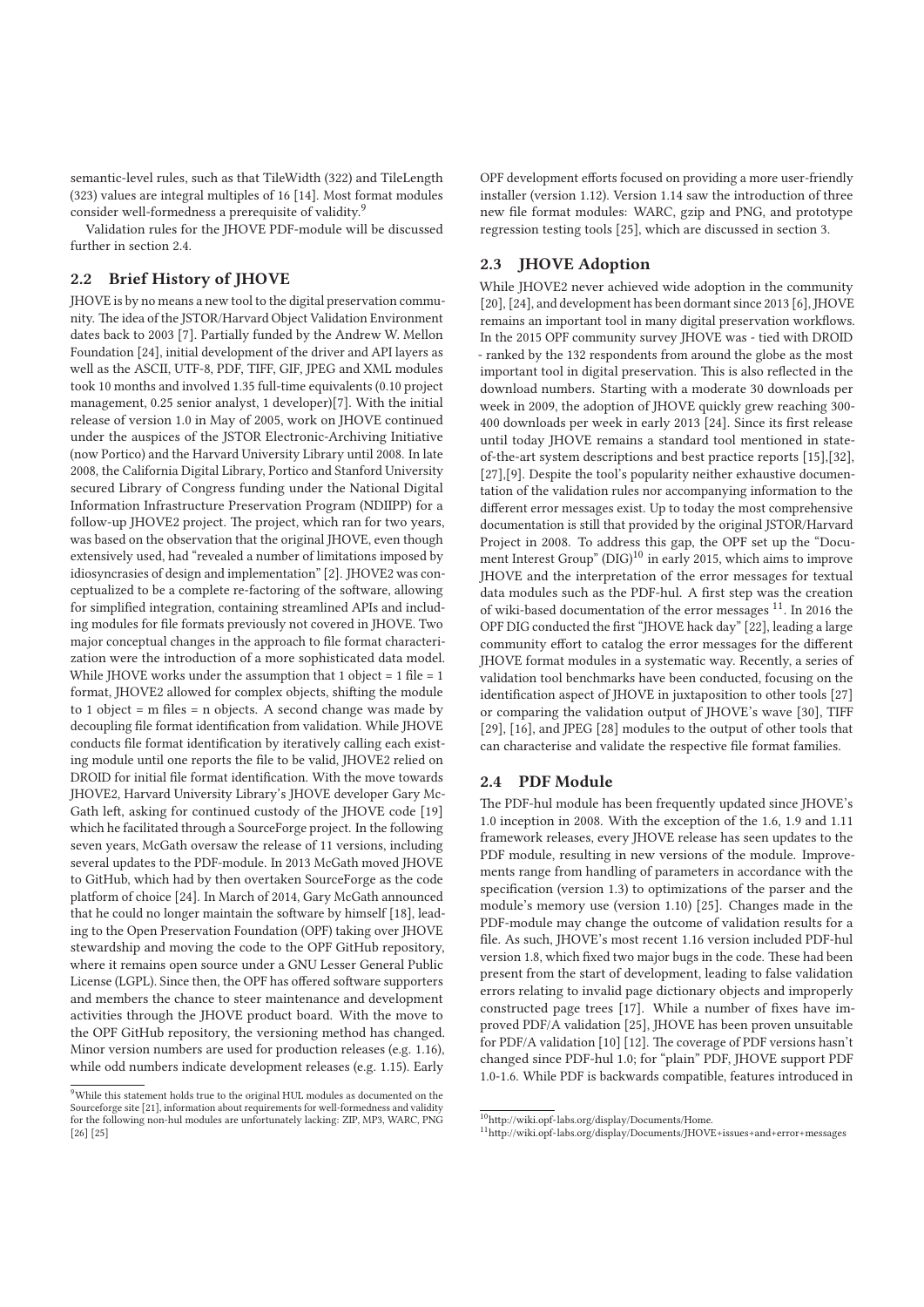semantic-level rules, such as that TileWidth (322) and TileLength (323) values are integral multiples of 16 [14]. Most format modules consider well-formedness a prerequisite of validity.<sup>9</sup>

Validation rules for the JHOVE PDF-module will be discussed further in section 2.4.

# **2.2 Brief History of JHOVE**

JHOVE is by no means a new tool to the digital preservation community. The idea of the JSTOR/Harvard Object Validation Environment dates back to 2003 [7]. Partially funded by the Andrew W. Mellon Foundation [24], initial development of the driver and API layers as well as the ASCII, UTF-8, PDF, TIFF, GIF, JPEG and XML modules took 10 months and involved 1.35 full-time equivalents (0.10 project management, 0.25 senior analyst, 1 developer)[7]. With the initial release of version 1.0 in May of 2005, work on JHOVE continued under the auspices of the JSTOR Electronic-Archiving Initiative (now Portico) and the Harvard University Library until 2008. In late 2008, the California Digital Library, Portico and Stanford University secured Library of Congress funding under the National Digital Information Infrastructure Preservation Program (NDIIPP) for a follow-up JHOVE2 project. The project, which ran for two years, was based on the observation that the original JHOVE, even though extensively used, had "revealed a number of limitations imposed by idiosyncrasies of design and implementation" [2]. JHOVE2 was conceptualized to be a complete re-factoring of the software, allowing for simplified integration, containing streamlined APIs and including modules for file formats previously not covered in JHOVE. Two major conceptual changes in the approach to file format characterization were the introduction of a more sophisticated data model. While JHOVE works under the assumption that 1 object =  $1$  file =  $1$ format, JHOVE2 allowed for complex objects, shifting the module to 1 object =  $m$  files =  $n$  objects. A second change was made by decoupling file format identification from validation. While JHOVE conducts file format identification by iteratively calling each existing module until one reports the file to be valid, JHOVE2 relied on DROID for initial file format identification. With the move towards JHOVE2, Harvard University Library's JHOVE developer Gary Mc-Gath left, asking for continued custody of the JHOVE code [19] which he facilitated through a SourceForge project. In the following seven years, McGath oversaw the release of 11 versions, including several updates to the PDF-module. In 2013 McGath moved JHOVE to GitHub, which had by then overtaken SourceForge as the code platform of choice [24]. In March of 2014, Gary McGath announced that he could no longer maintain the software by himself [18], leading to the Open Preservation Foundation (OPF) taking over JHOVE stewardship and moving the code to the OPF GitHub repository, where it remains open source under a GNU Lesser General Public License (LGPL). Since then, the OPF has offered software supporters and members the chance to steer maintenance and development activities through the JHOVE product board. With the move to the OPF GitHub repository, the versioning method has changed. Minor version numbers are used for production releases (e.g. 1.16), while odd numbers indicate development releases (e.g. 1.15). Early OPF development efforts focused on providing a more user-friendly installer (version 1.12). Version 1.14 saw the introduction of three new file format modules: WARC, gzip and PNG, and prototype regression testing tools [25], which are discussed in section 3.

## **2.3 JHOVE Adoption**

While JHOVE2 never achieved wide adoption in the community [20], [24], and development has been dormant since 2013 [6], JHOVE remains an important tool in many digital preservation workflows. In the 2015 OPF community survey JHOVE was - tied with DROID - ranked by the 132 respondents from around the globe as the most important tool in digital preservation. This is also reflected in the download numbers. Starting with a moderate 30 downloads per week in 2009, the adoption of JHOVE quickly grew reaching 300- 400 downloads per week in early 2013 [24]. Since its first release until today JHOVE remains a standard tool mentioned in stateof-the-art system descriptions and best practice reports [15],[32], [27],[9]. Despite the tool's popularity neither exhaustive documentation of the validation rules nor accompanying information to the different error messages exist. Up to today the most comprehensive documentation is still that provided by the original JSTOR/Harvard Project in 2008. To address this gap, the OPF set up the "Document Interest Group" (DIG)<sup>10</sup> in early 2015, which aims to improve JHOVE and the interpretation of the error messages for textual data modules such as the PDF-hul. A first step was the creation of wiki-based documentation of the error messages  $^{11}$ . In 2016 the OPF DIG conducted the first "JHOVE hack day" [22], leading a large community effort to catalog the error messages for the different JHOVE format modules in a systematic way. Recently, a series of validation tool benchmarks have been conducted, focusing on the identification aspect of JHOVE in juxtaposition to other tools [27] or comparing the validation output of JHOVE's wave [30], TIFF [29], [16], and JPEG [28] modules to the output of other tools that can characterise and validate the respective file format families.

#### **2.4 PDF Module**

The PDF-hul module has been frequently updated since JHOVE's 1.0 inception in 2008. With the exception of the 1.6, 1.9 and 1.11 framework releases, every JHOVE release has seen updates to the PDF module, resulting in new versions of the module. Improvements range from handling of parameters in accordance with the specification (version 1.3) to optimizations of the parser and the module's memory use (version 1.10) [25]. Changes made in the PDF-module may change the outcome of validation results for a file. As such, JHOVE's most recent 1.16 version included PDF-hul version 1.8, which fixed two major bugs in the code. These had been present from the start of development, leading to false validation errors relating to invalid page dictionary objects and improperly constructed page trees [17]. While a number of fixes have improved PDF/A validation [25], JHOVE has been proven unsuitable for PDF/A validation [10] [12]. The coverage of PDF versions hasn't changed since PDF-hul 1.0; for "plain" PDF, JHOVE support PDF 1.0-1.6. While PDF is backwards compatible, features introduced in

<sup>&</sup>lt;sup>9</sup>While this statement holds true to the original HUL modules as documented on the Sourceforge site [21], information about requirements for well-formedness and validity for the following non-hul modules are unfortunately lacking: ZIP, MP3, WARC, PNG [26] [25]

<sup>10</sup>http://wiki.opf-labs.org/display/Documents/Home.

<sup>11</sup>http://wiki.opf-labs.org/display/Documents/JHOVE+issues+and+error+messages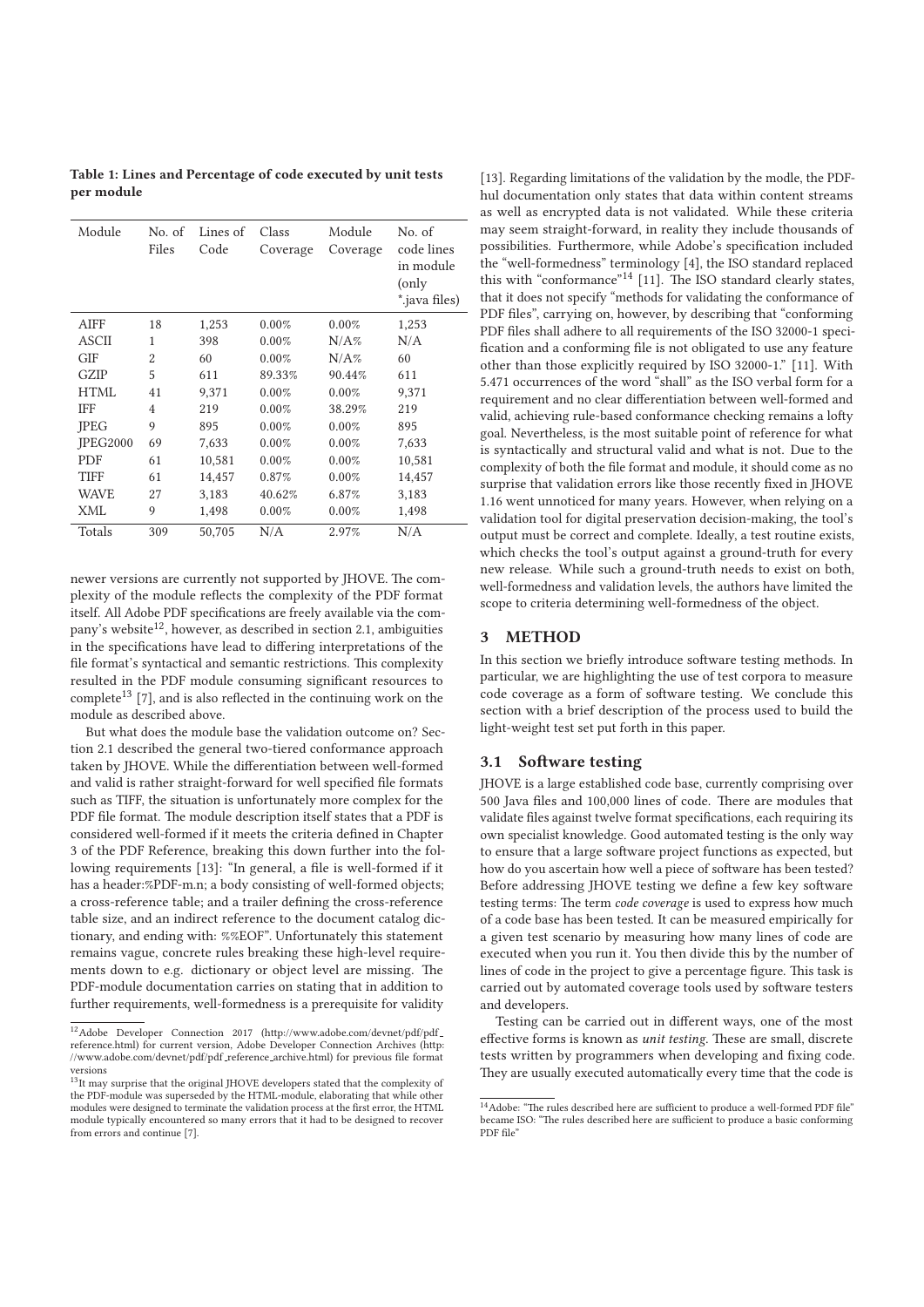**Table 1: Lines and Percentage of code executed by unit tests per module**

| Module       | No. of<br>Files | Lines of<br>Code | Class<br>Coverage | Module<br>Coverage | No. of<br>code lines<br>in module<br>(only<br>iava files).* |
|--------------|-----------------|------------------|-------------------|--------------------|-------------------------------------------------------------|
| <b>AIFF</b>  | 18              | 1,253            | 0.00%             | 0.00%              | 1,253                                                       |
| <b>ASCII</b> | 1               | 398              | 0.00%             | $N/A\%$            | N/A                                                         |
| <b>GIF</b>   | $\overline{2}$  | 60               | 0.00%             | N/A%               | 60                                                          |
| <b>GZIP</b>  | 5               | 611              | 89.33%            | 90.44%             | 611                                                         |
| HTML         | 41              | 9.371            | 0.00%             | 0.00%              | 9,371                                                       |
| <b>IFF</b>   | $\overline{4}$  | 219              | 0.00%             | 38.29%             | 219                                                         |
| <b>IPEG</b>  | 9               | 895              | 0.00%             | 0.00%              | 895                                                         |
| IPEG2000     | 69              | 7,633            | 0.00%             | 0.00%              | 7,633                                                       |
| <b>PDF</b>   | 61              | 10,581           | 0.00%             | 0.00%              | 10,581                                                      |
| <b>TIFF</b>  | 61              | 14,457           | 0.87%             | 0.00%              | 14,457                                                      |
| WAVE         | 27              | 3,183            | 40.62%            | 6.87%              | 3,183                                                       |
| XML          | 9               | 1,498            | 0.00%             | 0.00%              | 1,498                                                       |
| Totals       | 309             | 50,705           | N/A               | 2.97%              | N/A                                                         |
|              |                 |                  |                   |                    |                                                             |

newer versions are currently not supported by JHOVE. The complexity of the module reflects the complexity of the PDF format itself. All Adobe PDF specifications are freely available via the company's website<sup>12</sup>, however, as described in section 2.1, ambiguities in the specifications have lead to differing interpretations of the file format's syntactical and semantic restrictions. This complexity resulted in the PDF module consuming significant resources to complete $^{13}$  [7], and is also reflected in the continuing work on the module as described above.

But what does the module base the validation outcome on? Section 2.1 described the general two-tiered conformance approach taken by JHOVE. While the differentiation between well-formed and valid is rather straight-forward for well specified file formats such as TIFF, the situation is unfortunately more complex for the PDF file format. The module description itself states that a PDF is considered well-formed if it meets the criteria defined in Chapter 3 of the PDF Reference, breaking this down further into the following requirements [13]: "In general, a file is well-formed if it has a header:%PDF-m.n; a body consisting of well-formed objects; a cross-reference table; and a trailer defining the cross-reference table size, and an indirect reference to the document catalog dictionary, and ending with: %%EOF". Unfortunately this statement remains vague, concrete rules breaking these high-level requirements down to e.g. dictionary or object level are missing. The PDF-module documentation carries on stating that in addition to further requirements, well-formedness is a prerequisite for validity

[13]. Regarding limitations of the validation by the modle, the PDFhul documentation only states that data within content streams as well as encrypted data is not validated. While these criteria may seem straight-forward, in reality they include thousands of possibilities. Furthermore, while Adobe's specification included the "well-formedness" terminology [4], the ISO standard replaced this with "conformance"14 [11]. The ISO standard clearly states, that it does not specify "methods for validating the conformance of PDF files", carrying on, however, by describing that "conforming PDF files shall adhere to all requirements of the ISO 32000-1 specification and a conforming file is not obligated to use any feature other than those explicitly required by ISO 32000-1." [11]. With 5.471 occurrences of the word "shall" as the ISO verbal form for a requirement and no clear differentiation between well-formed and valid, achieving rule-based conformance checking remains a lofty goal. Nevertheless, is the most suitable point of reference for what is syntactically and structural valid and what is not. Due to the complexity of both the file format and module, it should come as no surprise that validation errors like those recently fixed in JHOVE 1.16 went unnoticed for many years. However, when relying on a validation tool for digital preservation decision-making, the tool's output must be correct and complete. Ideally, a test routine exists, which checks the tool's output against a ground-truth for every new release. While such a ground-truth needs to exist on both, well-formedness and validation levels, the authors have limited the scope to criteria determining well-formedness of the object.

# **3 METHOD**

In this section we briefly introduce software testing methods. In particular, we are highlighting the use of test corpora to measure code coverage as a form of software testing. We conclude this section with a brief description of the process used to build the light-weight test set put forth in this paper.

#### **3.1 Software testing**

JHOVE is a large established code base, currently comprising over 500 Java files and 100,000 lines of code. There are modules that validate files against twelve format specifications, each requiring its own specialist knowledge. Good automated testing is the only way to ensure that a large software project functions as expected, but how do you ascertain how well a piece of software has been tested? Before addressing JHOVE testing we define a few key software testing terms: The term code coverage is used to express how much of a code base has been tested. It can be measured empirically for a given test scenario by measuring how many lines of code are executed when you run it. You then divide this by the number of lines of code in the project to give a percentage figure. This task is carried out by automated coverage tools used by software testers and developers.

Testing can be carried out in different ways, one of the most effective forms is known as unit testing. These are small, discrete tests written by programmers when developing and fixing code. They are usually executed automatically every time that the code is

<sup>&</sup>lt;sup>12</sup>Adobe Developer Connection 2017 (http://www.adobe.com/devnet/pdf/pdf\_ reference.html) for current version, Adobe Developer Connection Archives (http: //www.adobe.com/devnet/pdf/pdf\_reference\_archive.html) for previous file format

versions 13It may surprise that the original JHOVE developers stated that the complexity of the PDF-module was superseded by the HTML-module, elaborating that while other modules were designed to terminate the validation process at the first error, the HTML module typically encountered so many errors that it had to be designed to recover from errors and continue [7].

 $^{14}\rm{Adobe:}$  "The rules described here are sufficient to produce a well-formed PDF file" became ISO: "The rules described here are sufficient to produce a basic conforming PDF file"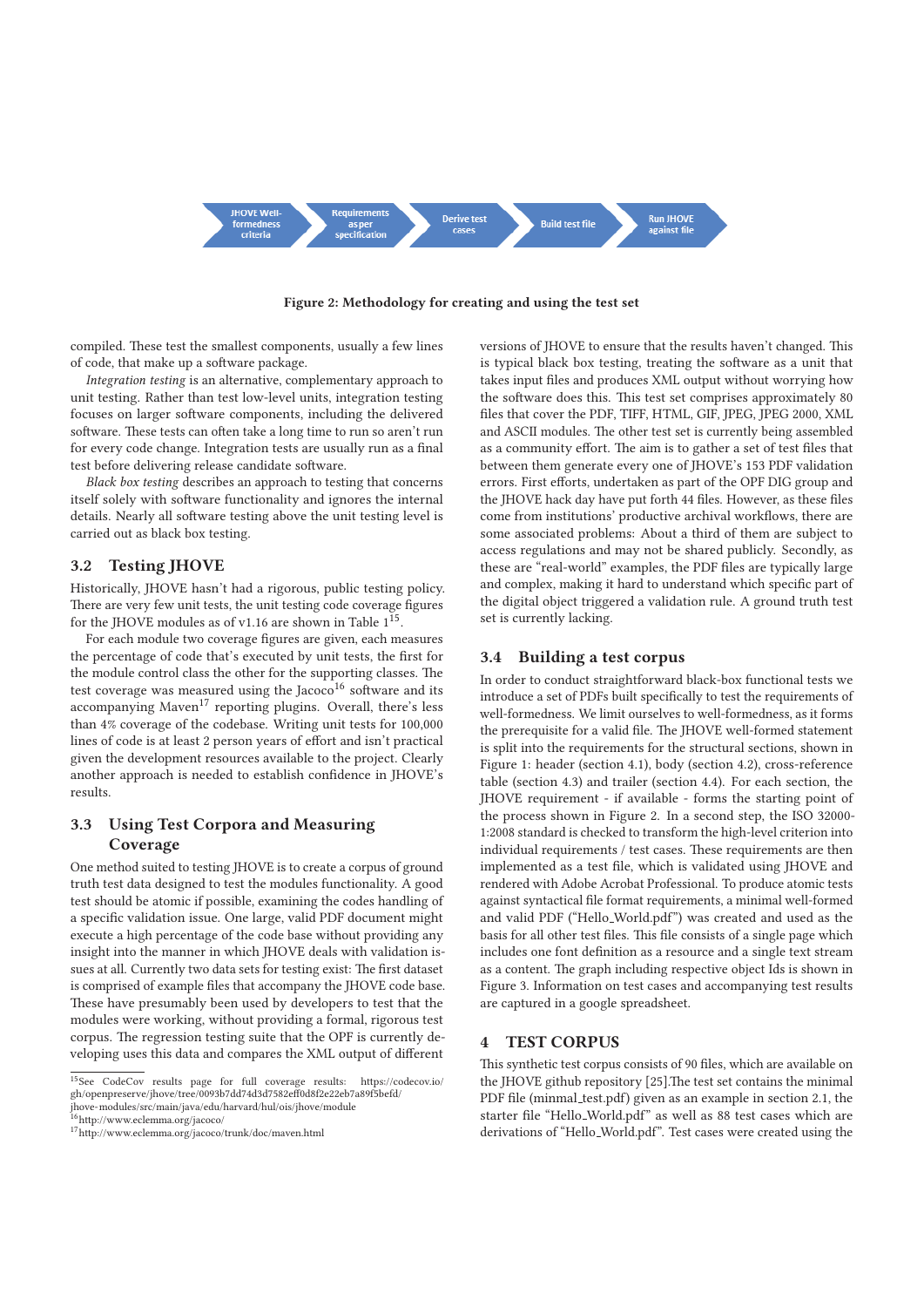

**Figure 2: Methodology for creating and using the test set**

compiled. These test the smallest components, usually a few lines of code, that make up a software package.

Integration testing is an alternative, complementary approach to unit testing. Rather than test low-level units, integration testing focuses on larger software components, including the delivered software. These tests can often take a long time to run so aren't run for every code change. Integration tests are usually run as a final test before delivering release candidate software.

Black box testing describes an approach to testing that concerns itself solely with software functionality and ignores the internal details. Nearly all software testing above the unit testing level is carried out as black box testing.

## **3.2 Testing JHOVE**

Historically, JHOVE hasn't had a rigorous, public testing policy. There are very few unit tests, the unit testing code coverage figures for the IHOVE modules as of v1.16 are shown in Table  $1^{15}$ .

For each module two coverage figures are given, each measures the percentage of code that's executed by unit tests, the first for the module control class the other for the supporting classes. The test coverage was measured using the Jacoco<sup>16</sup> software and its accompanying Maven<sup>17</sup> reporting plugins. Overall, there's less than 4% coverage of the codebase. Writing unit tests for 100,000 lines of code is at least 2 person years of effort and isn't practical given the development resources available to the project. Clearly another approach is needed to establish confidence in JHOVE's results.

# **3.3 Using Test Corpora and Measuring Coverage**

One method suited to testing JHOVE is to create a corpus of ground truth test data designed to test the modules functionality. A good test should be atomic if possible, examining the codes handling of a specific validation issue. One large, valid PDF document might execute a high percentage of the code base without providing any insight into the manner in which JHOVE deals with validation issues at all. Currently two data sets for testing exist: The first dataset is comprised of example files that accompany the JHOVE code base. These have presumably been used by developers to test that the modules were working, without providing a formal, rigorous test corpus. The regression testing suite that the OPF is currently developing uses this data and compares the XML output of different

16http://www.eclemma.org/jacoco/

versions of JHOVE to ensure that the results haven't changed. This is typical black box testing, treating the software as a unit that takes input files and produces XML output without worrying how the software does this. This test set comprises approximately 80 files that cover the PDF, TIFF, HTML, GIF, JPEG, JPEG 2000, XML and ASCII modules. The other test set is currently being assembled as a community effort. The aim is to gather a set of test files that between them generate every one of JHOVE's 153 PDF validation errors. First efforts, undertaken as part of the OPF DIG group and the JHOVE hack day have put forth 44 files. However, as these files come from institutions' productive archival workflows, there are some associated problems: About a third of them are subject to access regulations and may not be shared publicly. Secondly, as these are "real-world" examples, the PDF files are typically large and complex, making it hard to understand which specific part of the digital object triggered a validation rule. A ground truth test set is currently lacking.

#### **3.4 Building a test corpus**

In order to conduct straightforward black-box functional tests we introduce a set of PDFs built specifically to test the requirements of well-formedness. We limit ourselves to well-formedness, as it forms the prerequisite for a valid file. The JHOVE well-formed statement is split into the requirements for the structural sections, shown in Figure 1: header (section 4.1), body (section 4.2), cross-reference table (section 4.3) and trailer (section 4.4). For each section, the JHOVE requirement - if available - forms the starting point of the process shown in Figure 2. In a second step, the ISO 32000- 1:2008 standard is checked to transform the high-level criterion into individual requirements / test cases. These requirements are then implemented as a test file, which is validated using JHOVE and rendered with Adobe Acrobat Professional. To produce atomic tests against syntactical file format requirements, a minimal well-formed and valid PDF ("Hello World.pdf") was created and used as the basis for all other test files. This file consists of a single page which includes one font definition as a resource and a single text stream as a content. The graph including respective object Ids is shown in Figure 3. Information on test cases and accompanying test results are captured in a google spreadsheet.

# **4 TEST CORPUS**

This synthetic test corpus consists of 90 files, which are available on the JHOVE github repository [25].The test set contains the minimal PDF file (minmal\_test.pdf) given as an example in section 2.1, the starter file "Hello World.pdf" as well as 88 test cases which are derivations of "Hello World.pdf". Test cases were created using the

<sup>15</sup>See CodeCov results page for full coverage results: https://codecov.io/ gh/openpreserve/jhove/tree/0093b7dd74d3d7582eff0d8f2e22eb7a89f5befd/ jhove-modules/src/main/java/edu/harvard/hul/ois/jhove/module

<sup>17</sup>http://www.eclemma.org/jacoco/trunk/doc/maven.html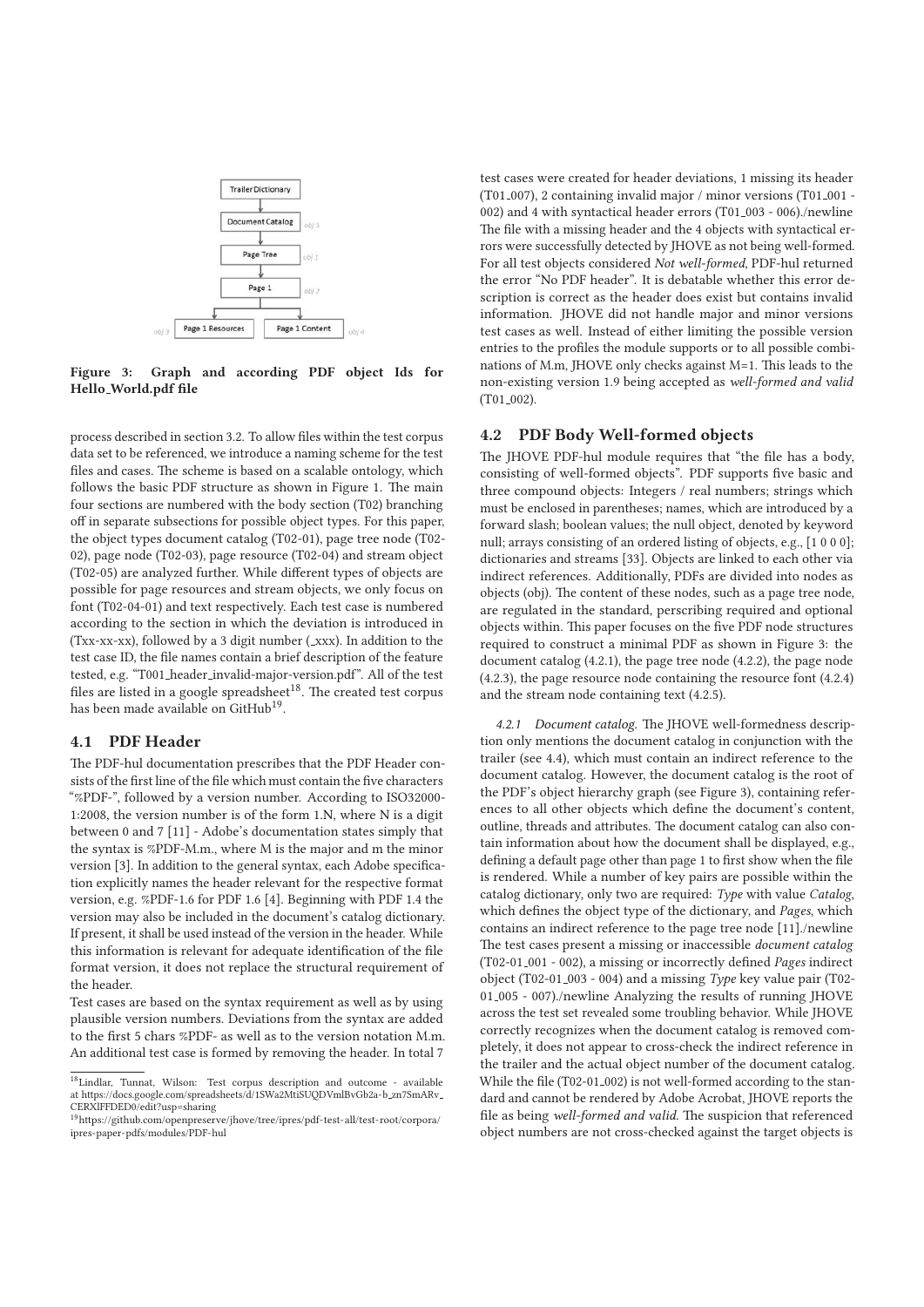

**Figure 3: Graph and according PDF object Ids for Hello World.pdf file**

process described in section 3.2. To allow files within the test corpus data set to be referenced, we introduce a naming scheme for the test files and cases. The scheme is based on a scalable ontology, which follows the basic PDF structure as shown in Figure 1. The main four sections are numbered with the body section (T02) branching off in separate subsections for possible object types. For this paper, the object types document catalog (T02-01), page tree node (T02- 02), page node (T02-03), page resource (T02-04) and stream object (T02-05) are analyzed further. While different types of objects are possible for page resources and stream objects, we only focus on font (T02-04-01) and text respectively. Each test case is numbered according to the section in which the deviation is introduced in (Txx-xx-xx), followed by a 3 digit number ( $\overline{\phantom{a}}$ xxx). In addition to the test case ID, the file names contain a brief description of the feature tested, e.g. "T001 header invalid-major-version.pdf". All of the test files are listed in a google spreadsheet $^{18}$ . The created test corpus has been made available on GitHub<sup>19</sup>.

# **4.1 PDF Header**

The PDF-hul documentation prescribes that the PDF Header consists of the first line of the file which must contain the five characters "%PDF-", followed by a version number. According to ISO32000- 1:2008, the version number is of the form 1.N, where N is a digit between 0 and 7 [11] - Adobe's documentation states simply that the syntax is %PDF-M.m., where M is the major and m the minor version [3]. In addition to the general syntax, each Adobe specification explicitly names the header relevant for the respective format version, e.g. %PDF-1.6 for PDF 1.6 [4]. Beginning with PDF 1.4 the version may also be included in the document's catalog dictionary. If present, it shall be used instead of the version in the header. While this information is relevant for adequate identification of the file format version, it does not replace the structural requirement of the header.

Test cases are based on the syntax requirement as well as by using plausible version numbers. Deviations from the syntax are added to the first 5 chars %PDF- as well as to the version notation M.m. An additional test case is formed by removing the header. In total 7

test cases were created for header deviations, 1 missing its header (T01<sub>-007</sub>), 2 containing invalid major / minor versions (T01<sub>-001</sub> -002) and 4 with syntactical header errors (T01 003 - 006)./newline The file with a missing header and the 4 objects with syntactical errors were successfully detected by JHOVE as not being well-formed. For all test objects considered Not well-formed, PDF-hul returned the error "No PDF header". It is debatable whether this error description is correct as the header does exist but contains invalid information. JHOVE did not handle major and minor versions test cases as well. Instead of either limiting the possible version entries to the profiles the module supports or to all possible combinations of M.m, JHOVE only checks against M=1. This leads to the non-existing version 1.9 being accepted as well-formed and valid (T01<sub>-002</sub>).

# **4.2 PDF Body Well-formed objects**

The JHOVE PDF-hul module requires that "the file has a body, consisting of well-formed objects". PDF supports five basic and three compound objects: Integers / real numbers; strings which must be enclosed in parentheses; names, which are introduced by a forward slash; boolean values; the null object, denoted by keyword null; arrays consisting of an ordered listing of objects, e.g., [1 0 0 0]; dictionaries and streams [33]. Objects are linked to each other via indirect references. Additionally, PDFs are divided into nodes as objects (obj). The content of these nodes, such as a page tree node, are regulated in the standard, perscribing required and optional objects within. This paper focuses on the five PDF node structures required to construct a minimal PDF as shown in Figure 3: the document catalog (4.2.1), the page tree node (4.2.2), the page node (4.2.3), the page resource node containing the resource font (4.2.4) and the stream node containing text (4.2.5).

*4.2.1 Document catalog.* The JHOVE well-formedness description only mentions the document catalog in conjunction with the trailer (see 4.4), which must contain an indirect reference to the document catalog. However, the document catalog is the root of the PDF's object hierarchy graph (see Figure 3), containing references to all other objects which define the document's content, outline, threads and attributes. The document catalog can also contain information about how the document shall be displayed, e.g., defining a default page other than page 1 to first show when the file is rendered. While a number of key pairs are possible within the catalog dictionary, only two are required: Type with value Catalog, which defines the object type of the dictionary, and Pages, which contains an indirect reference to the page tree node [11]./newline The test cases present a missing or inaccessible document catalog (T02-01 001 - 002), a missing or incorrectly defined Pages indirect object (T02-01 003 - 004) and a missing Type key value pair (T02- 01 005 - 007)./newline Analyzing the results of running JHOVE across the test set revealed some troubling behavior. While JHOVE correctly recognizes when the document catalog is removed completely, it does not appear to cross-check the indirect reference in the trailer and the actual object number of the document catalog. While the file (T02-01<sub>-002</sub>) is not well-formed according to the standard and cannot be rendered by Adobe Acrobat, JHOVE reports the file as being well-formed and valid. The suspicion that referenced object numbers are not cross-checked against the target objects is

<sup>18</sup>Lindlar, Tunnat, Wilson: Test corpus description and outcome - available at https://docs.google.com/spreadsheets/d/1SWa2MtiSUQDVmlBvGb2a-b zn7SmARv CERXlFFDED0/edit?usp=sharing

<sup>19</sup>https://github.com/openpreserve/jhove/tree/ipres/pdf-test-all/test-root/corpora/ ipres-paper-pdfs/modules/PDF-hul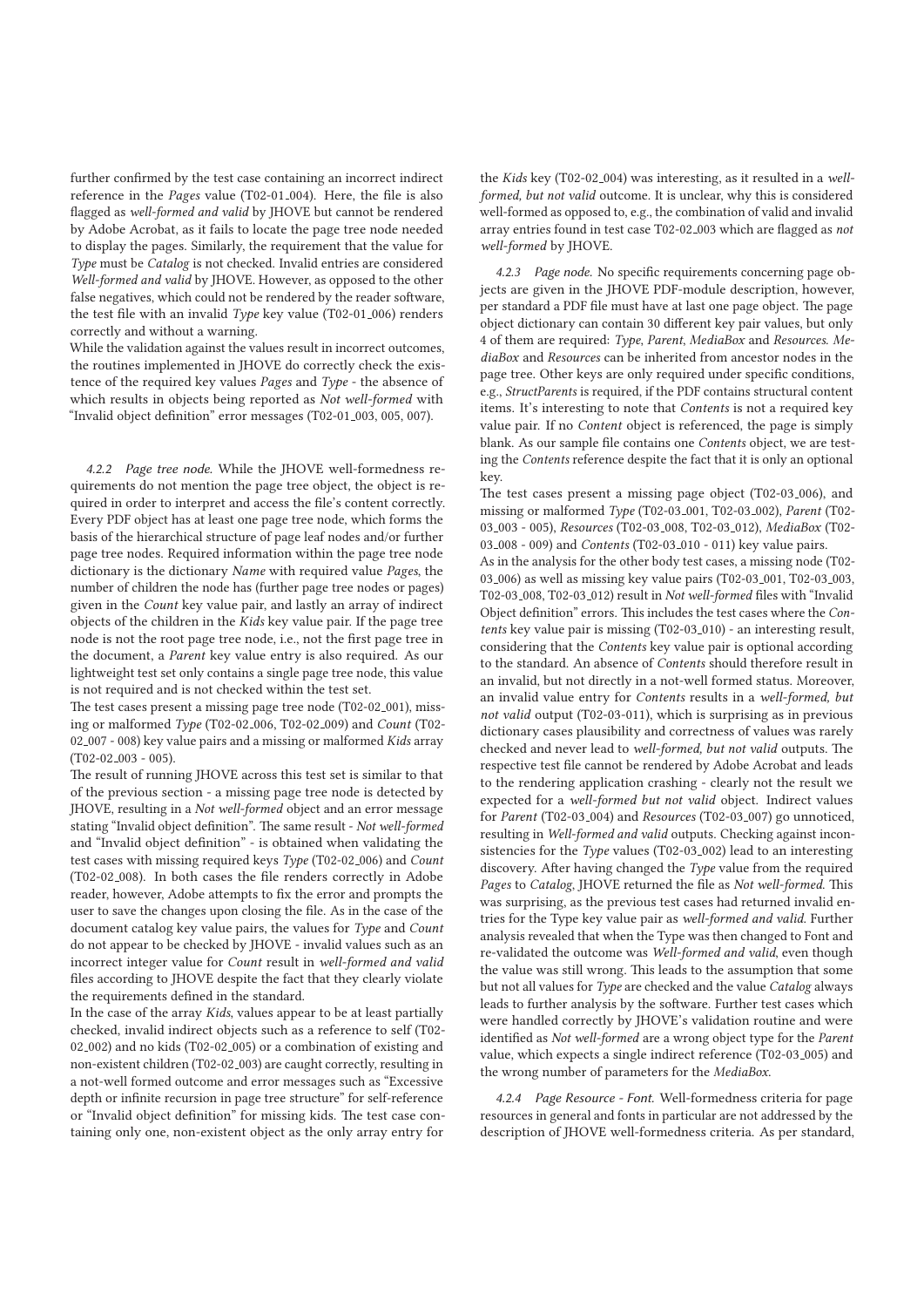further confirmed by the test case containing an incorrect indirect reference in the Pages value (T02-01 004). Here, the file is also flagged as well-formed and valid by JHOVE but cannot be rendered by Adobe Acrobat, as it fails to locate the page tree node needed to display the pages. Similarly, the requirement that the value for Type must be Catalog is not checked. Invalid entries are considered Well-formed and valid by JHOVE. However, as opposed to the other false negatives, which could not be rendered by the reader software, the test file with an invalid Type key value (T02-01<sub>-006</sub>) renders correctly and without a warning.

While the validation against the values result in incorrect outcomes, the routines implemented in JHOVE do correctly check the existence of the required key values Pages and Type - the absence of which results in objects being reported as Not well-formed with "Invalid object definition" error messages (T02-01 003, 005, 007).

*4.2.2 Page tree node.* While the JHOVE well-formedness requirements do not mention the page tree object, the object is required in order to interpret and access the file's content correctly. Every PDF object has at least one page tree node, which forms the basis of the hierarchical structure of page leaf nodes and/or further page tree nodes. Required information within the page tree node dictionary is the dictionary Name with required value Pages, the number of children the node has (further page tree nodes or pages) given in the Count key value pair, and lastly an array of indirect objects of the children in the Kids key value pair. If the page tree node is not the root page tree node, i.e., not the first page tree in the document, a Parent key value entry is also required. As our lightweight test set only contains a single page tree node, this value is not required and is not checked within the test set.

The test cases present a missing page tree node (T02-02<sub>-001</sub>), missing or malformed Type (T02-02 006, T02-02 009) and Count (T02- 02 007 - 008) key value pairs and a missing or malformed Kids array (T02-02 003 - 005).

The result of running JHOVE across this test set is similar to that of the previous section - a missing page tree node is detected by JHOVE, resulting in a Not well-formed object and an error message stating "Invalid object definition". The same result - Not well-formed and "Invalid object definition" - is obtained when validating the test cases with missing required keys Type (T02-02 006) and Count (T02-02 008). In both cases the file renders correctly in Adobe reader, however, Adobe attempts to fix the error and prompts the user to save the changes upon closing the file. As in the case of the document catalog key value pairs, the values for Type and Count do not appear to be checked by JHOVE - invalid values such as an incorrect integer value for Count result in well-formed and valid files according to JHOVE despite the fact that they clearly violate the requirements defined in the standard.

In the case of the array Kids, values appear to be at least partially checked, invalid indirect objects such as a reference to self (T02- 02 002) and no kids (T02-02 005) or a combination of existing and non-existent children (T02-02 003) are caught correctly, resulting in a not-well formed outcome and error messages such as "Excessive depth or infinite recursion in page tree structure" for self-reference or "Invalid object definition" for missing kids. The test case containing only one, non-existent object as the only array entry for

the Kids key (T02-02 004) was interesting, as it resulted in a wellformed, but not valid outcome. It is unclear, why this is considered well-formed as opposed to, e.g., the combination of valid and invalid array entries found in test case T02-02 003 which are flagged as not well-formed by JHOVE.

*4.2.3 Page node.* No specific requirements concerning page objects are given in the JHOVE PDF-module description, however, per standard a PDF file must have at last one page object. The page object dictionary can contain 30 different key pair values, but only 4 of them are required: Type, Parent, MediaBox and Resources. MediaBox and Resources can be inherited from ancestor nodes in the page tree. Other keys are only required under specific conditions, e.g., StructParents is required, if the PDF contains structural content items. It's interesting to note that Contents is not a required key value pair. If no Content object is referenced, the page is simply blank. As our sample file contains one Contents object, we are testing the Contents reference despite the fact that it is only an optional key.

The test cases present a missing page object (T02-03 006), and missing or malformed Type (T02-03 001, T02-03 002), Parent (T02- 03 003 - 005), Resources (T02-03 008, T02-03 012), MediaBox (T02- 03 008 - 009) and *Contents* (T02-03 010 - 011) key value pairs. As in the analysis for the other body test cases, a missing node (T02- 03 006) as well as missing key value pairs (T02-03 001, T02-03 003, T02-03 008, T02-03 012) result in Not well-formed files with "Invalid Object definition" errors. This includes the test cases where the Contents key value pair is missing (T02-03<sub>-010</sub>) - an interesting result, considering that the Contents key value pair is optional according to the standard. An absence of Contents should therefore result in an invalid, but not directly in a not-well formed status. Moreover, an invalid value entry for Contents results in a well-formed, but not valid output (T02-03-011), which is surprising as in previous dictionary cases plausibility and correctness of values was rarely checked and never lead to well-formed, but not valid outputs. The respective test file cannot be rendered by Adobe Acrobat and leads to the rendering application crashing - clearly not the result we expected for a well-formed but not valid object. Indirect values for Parent (T02-03<sub>-004)</sub> and Resources (T02-03<sub>-007</sub>) go unnoticed, resulting in Well-formed and valid outputs. Checking against inconsistencies for the Type values (T02-03<sub>-002</sub>) lead to an interesting discovery. After having changed the Type value from the required Pages to Catalog, JHOVE returned the file as Not well-formed. This was surprising, as the previous test cases had returned invalid entries for the Type key value pair as well-formed and valid. Further analysis revealed that when the Type was then changed to Font and re-validated the outcome was Well-formed and valid, even though the value was still wrong. This leads to the assumption that some but not all values for Type are checked and the value Catalog always leads to further analysis by the software. Further test cases which were handled correctly by JHOVE's validation routine and were identified as Not well-formed are a wrong object type for the Parent value, which expects a single indirect reference (T02-03 005) and the wrong number of parameters for the MediaBox. *4.2.4 Page Resource - Font.* Well-formedness criteria for page

resources in general and fonts in particular are not addressed by the description of JHOVE well-formedness criteria. As per standard,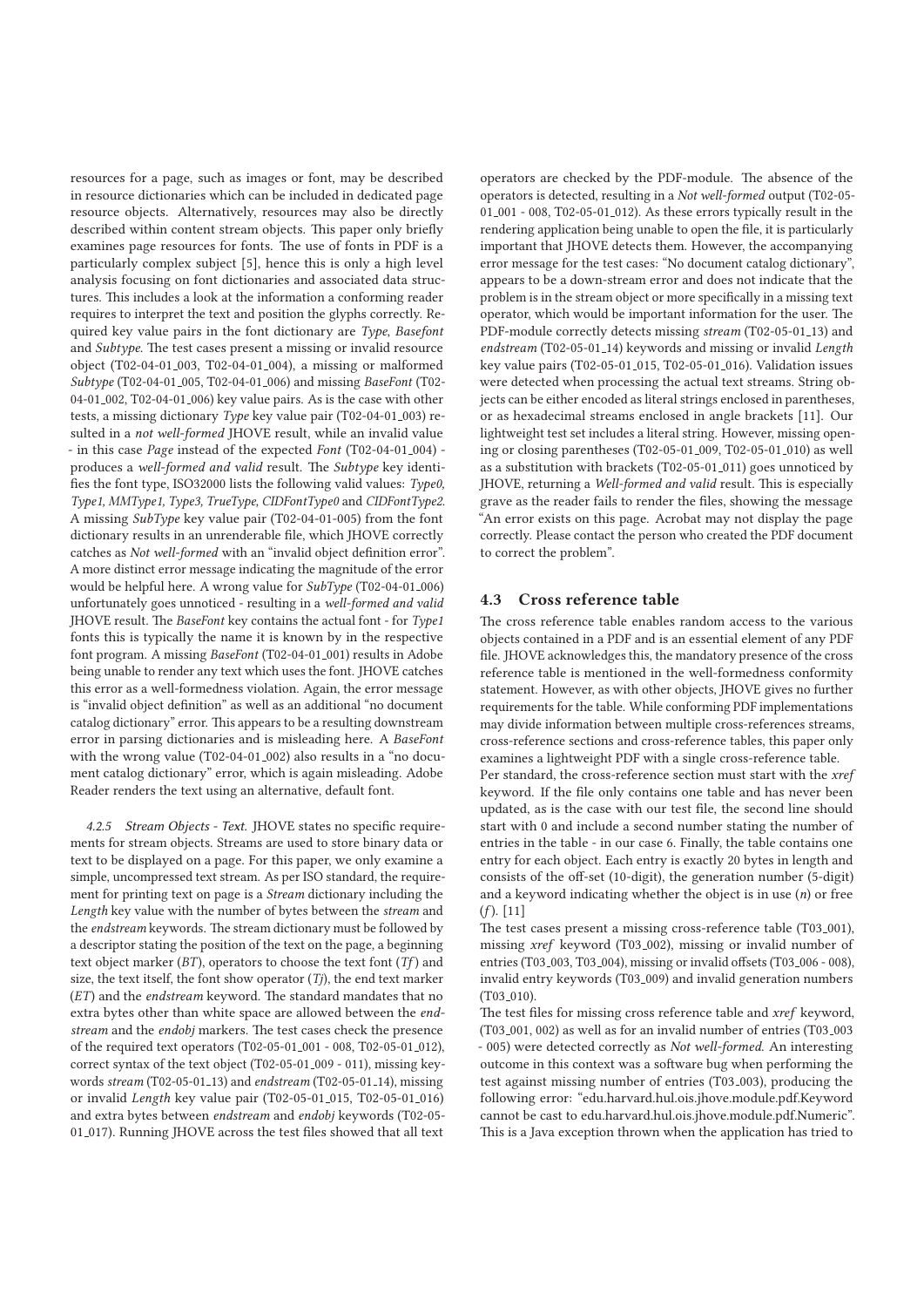resources for a page, such as images or font, may be described in resource dictionaries which can be included in dedicated page resource objects. Alternatively, resources may also be directly described within content stream objects. This paper only briefly examines page resources for fonts. The use of fonts in PDF is a particularly complex subject [5], hence this is only a high level analysis focusing on font dictionaries and associated data structures. This includes a look at the information a conforming reader requires to interpret the text and position the glyphs correctly. Required key value pairs in the font dictionary are Type, Basefont and Subtype. The test cases present a missing or invalid resource object (T02-04-01 003, T02-04-01 004), a missing or malformed Subtype (T02-04-01 005, T02-04-01 006) and missing BaseFont (T02- 04-01 002, T02-04-01 006) key value pairs. As is the case with other tests, a missing dictionary Type key value pair (T02-04-01<sub>-003</sub>) resulted in a not well-formed JHOVE result, while an invalid value - in this case Page instead of the expected Font (T02-04-01<sub>-004</sub>) produces a well-formed and valid result. The Subtype key identifies the font type, ISO32000 lists the following valid values: Type0, Type1, MMType1, Type3, TrueType, CIDFontType0 and CIDFontType2. A missing SubType key value pair (T02-04-01-005) from the font dictionary results in an unrenderable file, which JHOVE correctly catches as Not well-formed with an "invalid object definition error". A more distinct error message indicating the magnitude of the error would be helpful here. A wrong value for SubType (T02-04-01\_006) unfortunately goes unnoticed - resulting in a well-formed and valid JHOVE result. The BaseFont key contains the actual font - for Type1 fonts this is typically the name it is known by in the respective font program. A missing BaseFont (T02-04-01 001) results in Adobe being unable to render any text which uses the font. JHOVE catches this error as a well-formedness violation. Again, the error message is "invalid object definition" as well as an additional "no document catalog dictionary" error. This appears to be a resulting downstream error in parsing dictionaries and is misleading here. A BaseFont with the wrong value (T02-04-01 002) also results in a "no document catalog dictionary" error, which is again misleading. Adobe Reader renders the text using an alternative, default font.

*4.2.5 Stream Objects - Text.* JHOVE states no specific requirements for stream objects. Streams are used to store binary data or text to be displayed on a page. For this paper, we only examine a simple, uncompressed text stream. As per ISO standard, the requirement for printing text on page is a Stream dictionary including the Length key value with the number of bytes between the stream and the endstream keywords. The stream dictionary must be followed by a descriptor stating the position of the text on the page, a beginning text object marker  $(BT)$ , operators to choose the text font  $(Tf)$  and size, the text itself, the font show operator  $(Tj)$ , the end text marker (ET) and the endstream keyword. The standard mandates that no extra bytes other than white space are allowed between the endstream and the endobj markers. The test cases check the presence of the required text operators (T02-05-01 001 - 008, T02-05-01 012), correct syntax of the text object (T02-05-01 009 - 011), missing keywords stream (T02-05-01 13) and endstream (T02-05-01 14), missing or invalid Length key value pair (T02-05-01 015, T02-05-01 016) and extra bytes between endstream and endobj keywords (T02-05- 01<sub>-017</sub>). Running JHOVE across the test files showed that all text

operators are checked by the PDF-module. The absence of the operators is detected, resulting in a Not well-formed output (T02-05- 01 001 - 008, T02-05-01 012). As these errors typically result in the rendering application being unable to open the file, it is particularly important that JHOVE detects them. However, the accompanying error message for the test cases: "No document catalog dictionary", appears to be a down-stream error and does not indicate that the problem is in the stream object or more specifically in a missing text operator, which would be important information for the user. The PDF-module correctly detects missing stream (T02-05-01<sub>-13</sub>) and endstream (T02-05-01 14) keywords and missing or invalid Length key value pairs (T02-05-01 015, T02-05-01 016). Validation issues were detected when processing the actual text streams. String objects can be either encoded as literal strings enclosed in parentheses, or as hexadecimal streams enclosed in angle brackets [11]. Our lightweight test set includes a literal string. However, missing opening or closing parentheses (T02-05-01 009, T02-05-01 010) as well as a substitution with brackets (T02-05-01 011) goes unnoticed by JHOVE, returning a Well-formed and valid result. This is especially grave as the reader fails to render the files, showing the message "An error exists on this page. Acrobat may not display the page correctly. Please contact the person who created the PDF document to correct the problem".

# **4.3 Cross reference table**

The cross reference table enables random access to the various objects contained in a PDF and is an essential element of any PDF file. JHOVE acknowledges this, the mandatory presence of the cross reference table is mentioned in the well-formedness conformity statement. However, as with other objects, JHOVE gives no further requirements for the table. While conforming PDF implementations may divide information between multiple cross-references streams, cross-reference sections and cross-reference tables, this paper only examines a lightweight PDF with a single cross-reference table. Per standard, the cross-reference section must start with the xref keyword. If the file only contains one table and has never been updated, as is the case with our test file, the second line should start with 0 and include a second number stating the number of entries in the table - in our case 6. Finally, the table contains one entry for each object. Each entry is exactly 20 bytes in length and consists of the off-set (10-digit), the generation number (5-digit) and a keyword indicating whether the object is in use  $(n)$  or free  $(f)$ . [11]

The test cases present a missing cross-reference table (T03<sub>-001</sub>). missing xref keyword (T03 002), missing or invalid number of entries (T03<sub>-003</sub>, T03<sub>-004</sub>), missing or invalid offsets (T03<sub>-006</sub> - 008), invalid entry keywords (T03 009) and invalid generation numbers  $(T03_0010)$ .

The test files for missing cross reference table and xref keyword, (T03 001, 002) as well as for an invalid number of entries (T03 003 - 005) were detected correctly as Not well-formed. An interesting outcome in this context was a software bug when performing the test against missing number of entries (T03 003), producing the following error: "edu.harvard.hul.ois.jhove.module.pdf.Keyword cannot be cast to edu.harvard.hul.ois.jhove.module.pdf.Numeric". This is a Java exception thrown when the application has tried to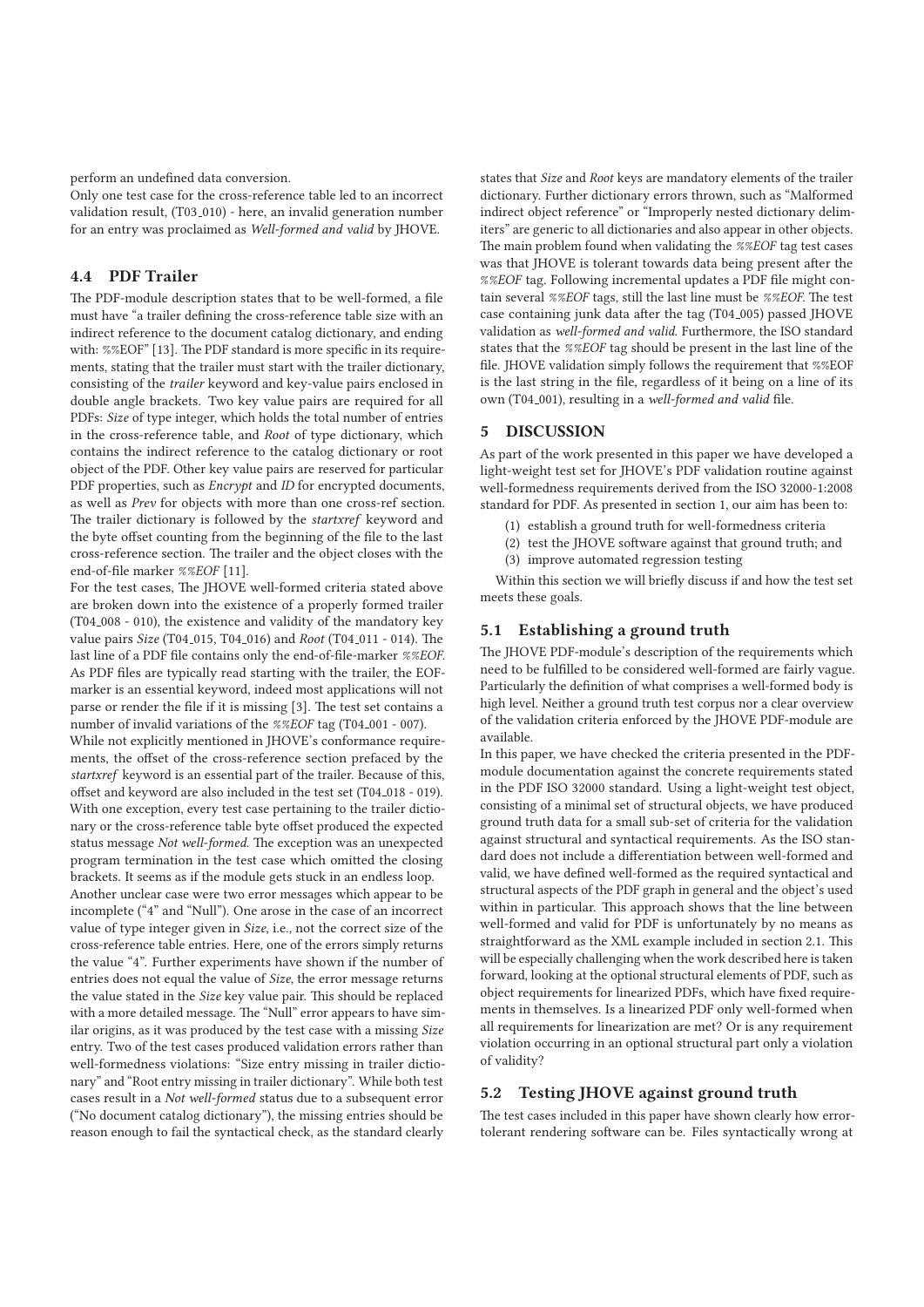perform an undefined data conversion.

Only one test case for the cross-reference table led to an incorrect validation result, (T03<sub>-010</sub>) - here, an invalid generation number for an entry was proclaimed as Well-formed and valid by JHOVE.

# **4.4 PDF Trailer**

The PDF-module description states that to be well-formed, a file must have "a trailer defining the cross-reference table size with an indirect reference to the document catalog dictionary, and ending with: %%EOF" [13]. The PDF standard is more specific in its requirements, stating that the trailer must start with the trailer dictionary, consisting of the trailer keyword and key-value pairs enclosed in double angle brackets. Two key value pairs are required for all PDFs: Size of type integer, which holds the total number of entries in the cross-reference table, and Root of type dictionary, which contains the indirect reference to the catalog dictionary or root object of the PDF. Other key value pairs are reserved for particular PDF properties, such as *Encrypt* and *ID* for encrypted documents, as well as Prev for objects with more than one cross-ref section. The trailer dictionary is followed by the startxref keyword and the byte offset counting from the beginning of the file to the last cross-reference section. The trailer and the object closes with the end-of-file marker %%EOF [11].

For the test cases, The JHOVE well-formed criteria stated above are broken down into the existence of a properly formed trailer (T04<sub>-008</sub> - 010), the existence and validity of the mandatory key value pairs *Size* (T04<sub>-015</sub>, T04<sub>-016</sub>) and *Root* (T04<sub>-011</sub> - 014). The last line of a PDF file contains only the end-of-file-marker %%EOF. As PDF files are typically read starting with the trailer, the EOFmarker is an essential keyword, indeed most applications will not parse or render the file if it is missing [3]. The test set contains a number of invalid variations of the %%EOF tag (T04\_001 - 007).

While not explicitly mentioned in JHOVE's conformance requirements, the offset of the cross-reference section prefaced by the startxref keyword is an essential part of the trailer. Because of this, offset and keyword are also included in the test set (T04<sub>-018</sub> - 019). With one exception, every test case pertaining to the trailer dictionary or the cross-reference table byte offset produced the expected status message Not well-formed. The exception was an unexpected program termination in the test case which omitted the closing brackets. It seems as if the module gets stuck in an endless loop.

Another unclear case were two error messages which appear to be incomplete ("4" and "Null"). One arose in the case of an incorrect value of type integer given in Size, i.e., not the correct size of the cross-reference table entries. Here, one of the errors simply returns the value "4". Further experiments have shown if the number of entries does not equal the value of Size, the error message returns the value stated in the Size key value pair. This should be replaced with a more detailed message. The "Null" error appears to have similar origins, as it was produced by the test case with a missing Size entry. Two of the test cases produced validation errors rather than well-formedness violations: "Size entry missing in trailer dictionary" and "Root entry missing in trailer dictionary". While both test cases result in a Not well-formed status due to a subsequent error ("No document catalog dictionary"), the missing entries should be reason enough to fail the syntactical check, as the standard clearly

states that Size and Root keys are mandatory elements of the trailer dictionary. Further dictionary errors thrown, such as "Malformed indirect object reference" or "Improperly nested dictionary delimiters" are generic to all dictionaries and also appear in other objects. The main problem found when validating the %%EOF tag test cases was that JHOVE is tolerant towards data being present after the %%EOF tag. Following incremental updates a PDF file might contain several %%EOF tags, still the last line must be %%EOF. The test case containing junk data after the tag (T04<sub>-005</sub>) passed JHOVE validation as well-formed and valid. Furthermore, the ISO standard states that the %%EOF tag should be present in the last line of the file. JHOVE validation simply follows the requirement that %%EOF is the last string in the file, regardless of it being on a line of its own (T04<sub>-001</sub>), resulting in a well-formed and valid file.

# **5 DISCUSSION**

As part of the work presented in this paper we have developed a light-weight test set for JHOVE's PDF validation routine against well-formedness requirements derived from the ISO 32000-1:2008 standard for PDF. As presented in section 1, our aim has been to:

- (1) establish a ground truth for well-formedness criteria
- (2) test the JHOVE software against that ground truth; and
- (3) improve automated regression testing

Within this section we will briefly discuss if and how the test set meets these goals.

#### **5.1 Establishing a ground truth**

The JHOVE PDF-module's description of the requirements which need to be fulfilled to be considered well-formed are fairly vague. Particularly the definition of what comprises a well-formed body is high level. Neither a ground truth test corpus nor a clear overview of the validation criteria enforced by the JHOVE PDF-module are available.

In this paper, we have checked the criteria presented in the PDFmodule documentation against the concrete requirements stated in the PDF ISO 32000 standard. Using a light-weight test object, consisting of a minimal set of structural objects, we have produced ground truth data for a small sub-set of criteria for the validation against structural and syntactical requirements. As the ISO standard does not include a differentiation between well-formed and valid, we have defined well-formed as the required syntactical and structural aspects of the PDF graph in general and the object's used within in particular. This approach shows that the line between well-formed and valid for PDF is unfortunately by no means as straightforward as the XML example included in section 2.1. This will be especially challenging when the work described here is taken forward, looking at the optional structural elements of PDF, such as object requirements for linearized PDFs, which have fixed requirements in themselves. Is a linearized PDF only well-formed when all requirements for linearization are met? Or is any requirement violation occurring in an optional structural part only a violation of validity?

# **5.2 Testing JHOVE against ground truth**

The test cases included in this paper have shown clearly how errortolerant rendering software can be. Files syntactically wrong at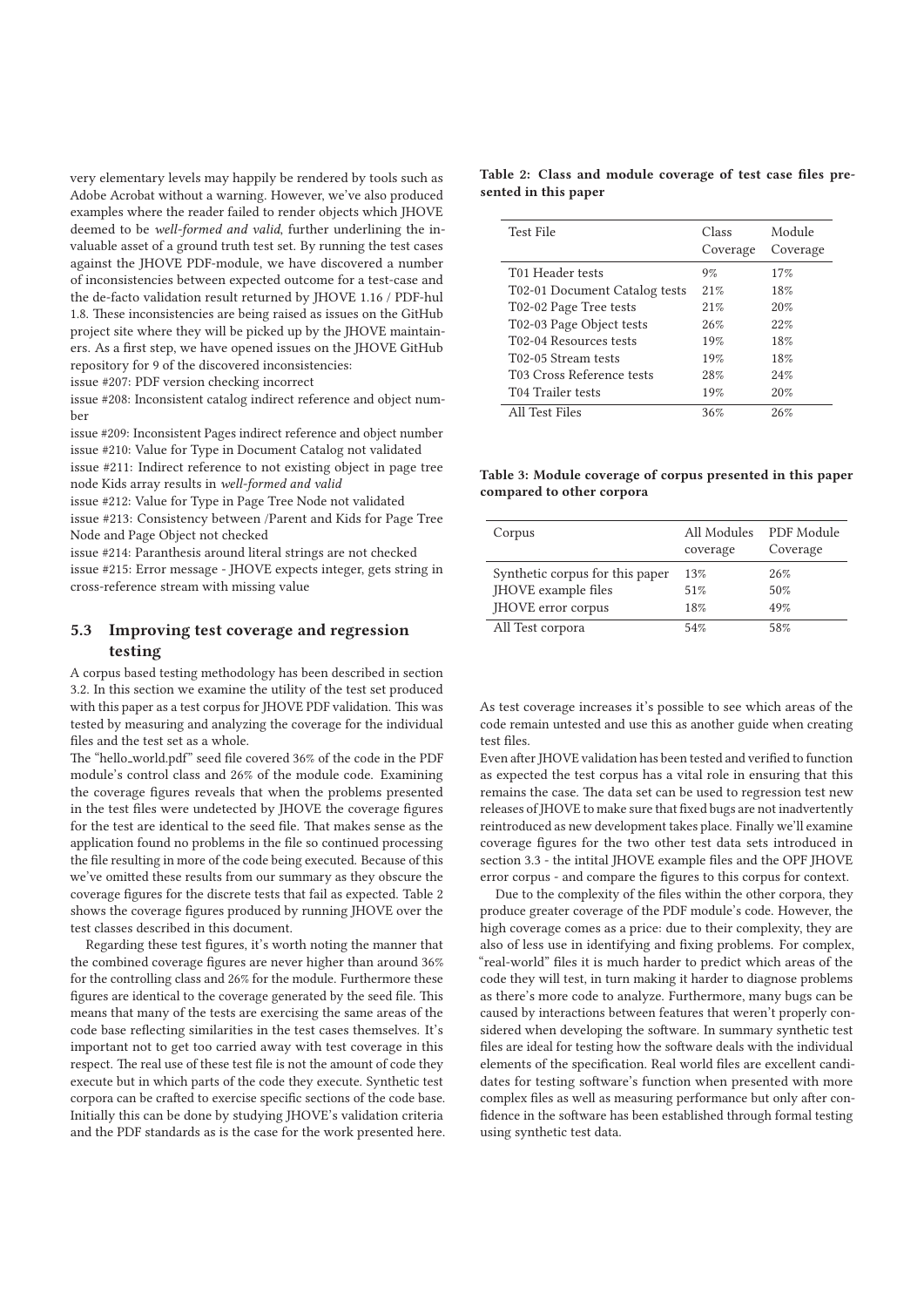very elementary levels may happily be rendered by tools such as Adobe Acrobat without a warning. However, we've also produced examples where the reader failed to render objects which JHOVE deemed to be well-formed and valid, further underlining the invaluable asset of a ground truth test set. By running the test cases against the JHOVE PDF-module, we have discovered a number of inconsistencies between expected outcome for a test-case and the de-facto validation result returned by JHOVE 1.16 / PDF-hul 1.8. These inconsistencies are being raised as issues on the GitHub project site where they will be picked up by the JHOVE maintainers. As a first step, we have opened issues on the JHOVE GitHub repository for 9 of the discovered inconsistencies:

issue #207: PDF version checking incorrect

issue #208: Inconsistent catalog indirect reference and object number

issue #209: Inconsistent Pages indirect reference and object number issue #210: Value for Type in Document Catalog not validated

issue #211: Indirect reference to not existing object in page tree node Kids array results in well-formed and valid

issue #212: Value for Type in Page Tree Node not validated

issue #213: Consistency between /Parent and Kids for Page Tree Node and Page Object not checked

issue #214: Paranthesis around literal strings are not checked issue #215: Error message - JHOVE expects integer, gets string in

cross-reference stream with missing value

## **5.3 Improving test coverage and regression testing**

A corpus based testing methodology has been described in section 3.2. In this section we examine the utility of the test set produced with this paper as a test corpus for JHOVE PDF validation. This was tested by measuring and analyzing the coverage for the individual files and the test set as a whole.

The "hello world.pdf" seed file covered 36% of the code in the PDF module's control class and 26% of the module code. Examining the coverage figures reveals that when the problems presented in the test files were undetected by JHOVE the coverage figures for the test are identical to the seed file. That makes sense as the application found no problems in the file so continued processing the file resulting in more of the code being executed. Because of this we've omitted these results from our summary as they obscure the coverage figures for the discrete tests that fail as expected. Table 2 shows the coverage figures produced by running JHOVE over the test classes described in this document.

Regarding these test figures, it's worth noting the manner that the combined coverage figures are never higher than around 36% for the controlling class and 26% for the module. Furthermore these figures are identical to the coverage generated by the seed file. This means that many of the tests are exercising the same areas of the code base reflecting similarities in the test cases themselves. It's important not to get too carried away with test coverage in this respect. The real use of these test file is not the amount of code they execute but in which parts of the code they execute. Synthetic test corpora can be crafted to exercise specific sections of the code base. Initially this can be done by studying JHOVE's validation criteria and the PDF standards as is the case for the work presented here.

#### **Table 2: Class and module coverage of test case files presented in this paper**

| Test File                     | Class<br>Coverage | Module<br>Coverage |
|-------------------------------|-------------------|--------------------|
| T01 Header tests              | 9%                | 17%                |
| T02-01 Document Catalog tests | 21%               | 18%                |
| T02-02 Page Tree tests        | 21%               | 20%                |
| T02-03 Page Object tests      | 26%               | 22%                |
| T02-04 Resources tests        | 19%               | 18%                |
| T02-05 Stream tests           | 19%               | 18%                |
| T03 Cross Reference tests     | 28%               | 24%                |
| T04 Trailer tests             | 19%               | 20%                |
| All Test Files                | 36%               | 26%                |

**Table 3: Module coverage of corpus presented in this paper compared to other corpora**

| Corpus                                                                       | All Modules<br>coverage | PDF Module<br>Coverage |
|------------------------------------------------------------------------------|-------------------------|------------------------|
| Synthetic corpus for this paper<br>JHOVE example files<br>JHOVE error corpus | 13%<br>51%<br>18%       | 26%<br>50%<br>49%      |
| All Test corpora                                                             | 54%                     | 58%                    |

As test coverage increases it's possible to see which areas of the code remain untested and use this as another guide when creating test files.

Even after JHOVE validation has been tested and verified to function as expected the test corpus has a vital role in ensuring that this remains the case. The data set can be used to regression test new releases of JHOVE to make sure that fixed bugs are not inadvertently reintroduced as new development takes place. Finally we'll examine coverage figures for the two other test data sets introduced in section 3.3 - the intital JHOVE example files and the OPF JHOVE error corpus - and compare the figures to this corpus for context.

Due to the complexity of the files within the other corpora, they produce greater coverage of the PDF module's code. However, the high coverage comes as a price: due to their complexity, they are also of less use in identifying and fixing problems. For complex, "real-world" files it is much harder to predict which areas of the code they will test, in turn making it harder to diagnose problems as there's more code to analyze. Furthermore, many bugs can be caused by interactions between features that weren't properly considered when developing the software. In summary synthetic test files are ideal for testing how the software deals with the individual elements of the specification. Real world files are excellent candidates for testing software's function when presented with more complex files as well as measuring performance but only after confidence in the software has been established through formal testing using synthetic test data.